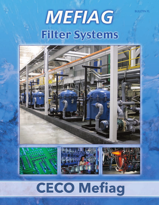**BULLETIN FL** 

# MEFIAG **Filter Systems**



# **CECO Mefiag**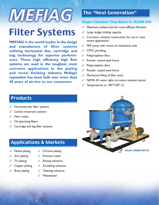# **MEFIAG**

# **Filter Systems**

**MEFIAG is the world leader in the design and manufacture of filter systems utilizing horizontal disc, cartridge and bag technology for superior performance. These high efficiency, high flow systems are used in the toughest, most corrosive applications in the plating and metal finishing industry. Mefiag's reputation has been built over more than 40 years of service to our customers.**

# The "Next Generation"

#### Single Chamber Flow Rates to 30,000 GPH

- **✓** Maximum surface area for more efficient filtration
- Large sludge holding capacity
- **✓** Corrosion resistant construction for use in most severe applications
- **✓** FRP pump with choice of mechanical seals
- **✓** CPVC plumbing
- Polypropylene discs
- Powder coated steel frame
- Polypropylene discs
- **✓** Powder coated steel frame
- **✓** Mechanical lifting of filter stack
- **✓** NEMA 4X water tight, corrosion resistant starter
- **✓** Temperatures to 190°F (90° C)



- **✓** Horizontal disc filter systems
- **✓** Carbon treatment systems
- **Filter** media
- **Oil absorbing filters**
- **✓** Cartridge and bag filter systems

### Applications & Markets

- **✓** Nickel plating
- **✓** Zinc plating
- **✓** Tin plating
- **✓** Copper plating
- **Brass plating**
- **✓** Chrome plating
- **✓** Precious metal
- **✓** Rinsing solutions
- **✓** Anodizing solutions
- **✓** Cleaning solutions
	- **✓** Wastewater

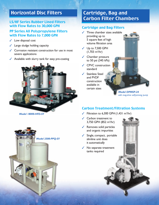## Horizontal Disc Filters

#### LS/HF Series Rubber Lined Filters with Flow Rates to 30,000 GPH

#### PP Series All Polypropylene Filters with Flow Rates to 7,000 GPH

- **✓** Low disposal cost
- **✓** Large sludge holding capacity
- **✓** Corrosion resistant construction for use in most severe applications
- **✓** Available with slurry tank for easy pre-coating



*Model 18000-HFD-SY*



# Cartridge, Bag and Carbon Filter Chambers

#### Cartridge and Bag Filters

- **✓** Three chamber sizes available providing up to 5 square feet of high volume filtration area
- **✓** Up to 7,500 GPH  $(1,703 \text{ m}^3/\text{hr})$
- **✓** Chamber pressure to 50 psi (345 kPa)
- **✓** CPVC construction standard
- **✓** Stainless Steel and PVDF construction available in certain sizes

*Model DPMSP-24 with mag-drive self-priming pump*

#### Carbon Treatment/Filtration Systems

- **✓** Filtration to 6,300 GPH (1,431 m3 /hr)
- **✓** Carbon treatment to 3,750 GPH (852 m<sup>3</sup>/hr)
- **✓** Removes solid particles and organic impurities
- **✓** Single, compact, portable slimline unit does it automatically
- **✓** No separate treatment tanks required